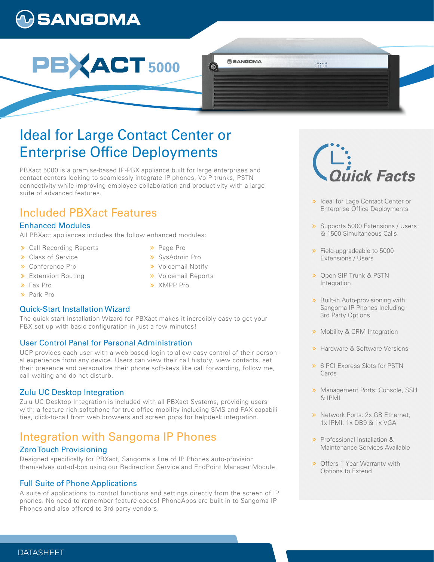# **)SANGOMA**



# Ideal for Large Contact Center or **Enterprise Office Deployments**

PBXact 5000 is a premise-based IP-PBX appliance built for large enterprises and contact centers looking to seamlessly integrate IP phones, VoIP trunks, PSTN connectivity while improving employee collaboration and productivity with a large suite of advanced features.

## Included PBXact Features

## Enhanced Modules

All PBXact appliances includes the follow enhanced modules:

- Call Recording Reports
- **>>** Class of Service
- Conference Pro
- **>** Extension Routing
- Fax Pro
- Park Pro

## Quick-Start Installation Wizard

The quick-start Installation Wizard for PBXact makes it incredibly easy to get your PBX set up with basic configuration in just a few minutes!

## User Control Panel for Personal Administration

UCP provides each user with a web based login to allow easy control of their personal experience from any device. Users can view their call history, view contacts, set their presence and personalize their phone soft-keys like call forwarding, follow me, call waiting and do not disturb.

## Zulu UC Desktop Integration

Zulu UC Desktop Integration is included with all PBXact Systems, providing users with: a feature-rich softphone for true office mobility including SMS and FAX capabilities, click-to-call from web browsers and screen pops for helpdesk integration.

## Integration with Sangoma IP Phones

## Zero Touch Provisioning

Designed specifically for PBXact, Sangoma's line of IP Phones auto-provision themselves out-of-box using our Redirection Service and EndPoint Manager Module.

## Full Suite of Phone Applications

A suite of applications to control functions and settings directly from the screen of IP phones. No need to remember feature codes! PhoneApps are built-in to Sangoma IP Phones and also offered to 3rd party vendors.

- > Page Pro
- SysAdmin Pro
- **»** Voicemail Notify
- **»** Voicemail Reports

**BANGOMA** 

 $\circledcirc$ 

XMPP Pro

i<br>lick Facts

00458

- > Ideal for Lage Contact Center or Enterprise Office Deployments
- **»** Supports 5000 Extensions / Users & 1500 Simultaneous Calls
- **>>** Field-upgradeable to 5000 Extensions / Users
- **»** Open SIP Trunk & PSTN **Integration**
- **»** Built-in Auto-provisioning with Sangoma IP Phones Including 3rd Party Options
- **»** Mobility & CRM Integration
- **»** Hardware & Software Versions
- 6 PCI Express Slots for PSTN **Cards**
- **»** Management Ports: Console, SSH & IPMI
- > Network Ports: 2x GB Ethernet. 1x IPMI, 1x DB9 & 1x VGA
- **»** Professional Installation & Maintenance Services Available
- **»** Offers 1 Year Warranty with Options to Extend